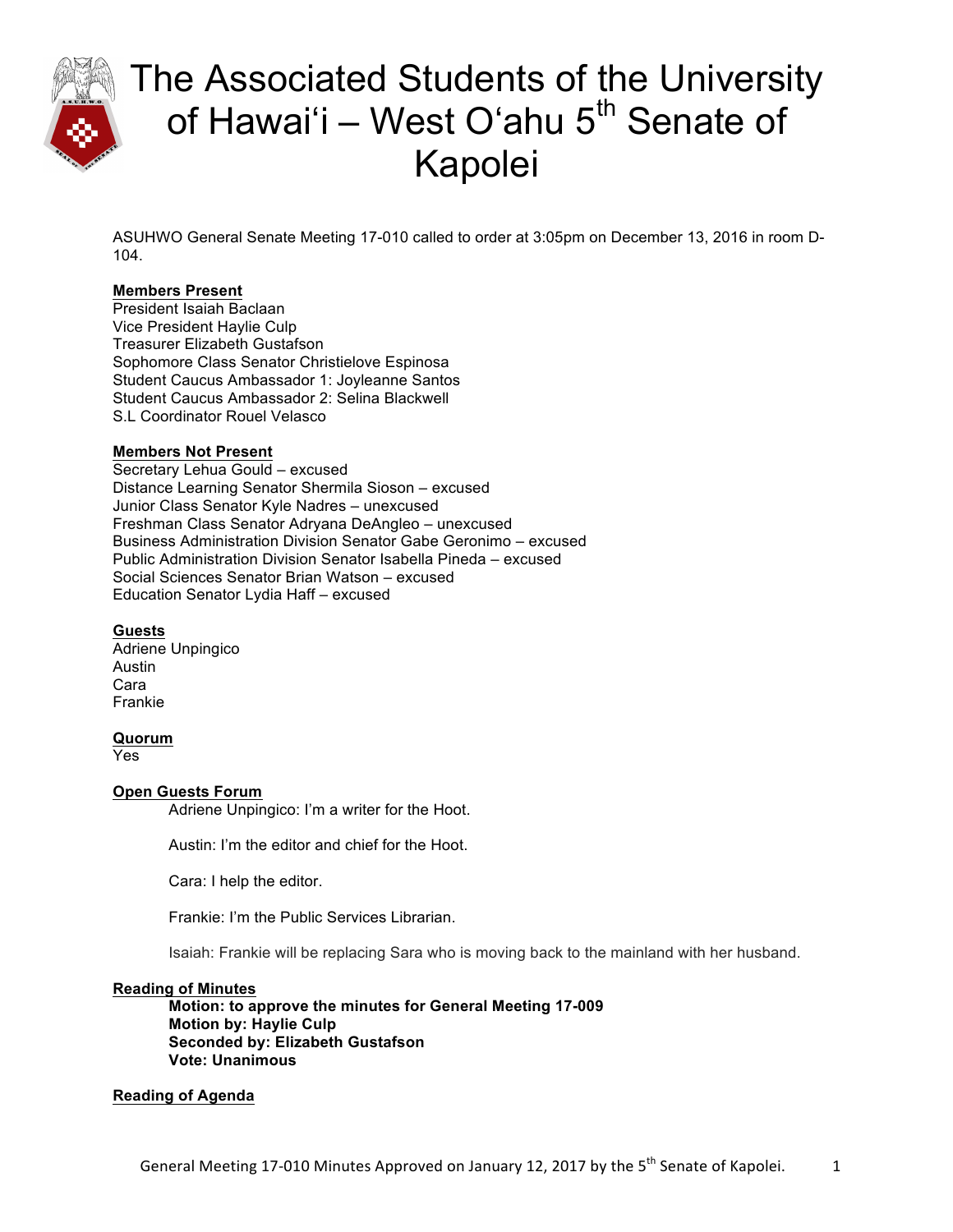

ASUHWO General Senate Meeting 17-010 called to order at 3:05pm on December 13, 2016 in room D-104.

### **Members Present**

President Isaiah Baclaan Vice President Haylie Culp Treasurer Elizabeth Gustafson Sophomore Class Senator Christielove Espinosa Student Caucus Ambassador 1: Joyleanne Santos Student Caucus Ambassador 2: Selina Blackwell S.L Coordinator Rouel Velasco

### **Members Not Present**

Secretary Lehua Gould – excused Distance Learning Senator Shermila Sioson – excused Junior Class Senator Kyle Nadres – unexcused Freshman Class Senator Adryana DeAngleo – unexcused Business Administration Division Senator Gabe Geronimo – excused Public Administration Division Senator Isabella Pineda – excused Social Sciences Senator Brian Watson – excused Education Senator Lydia Haff – excused

#### **Guests**

Adriene Unpingico Austin Cara Frankie

#### **Quorum**

Yes

### **Open Guests Forum**

Adriene Unpingico: I'm a writer for the Hoot.

Austin: I'm the editor and chief for the Hoot.

Cara: I help the editor.

Frankie: I'm the Public Services Librarian.

Isaiah: Frankie will be replacing Sara who is moving back to the mainland with her husband.

#### **Reading of Minutes**

**Motion: to approve the minutes for General Meeting 17-009 Motion by: Haylie Culp Seconded by: Elizabeth Gustafson Vote: Unanimous** 

#### **Reading of Agenda**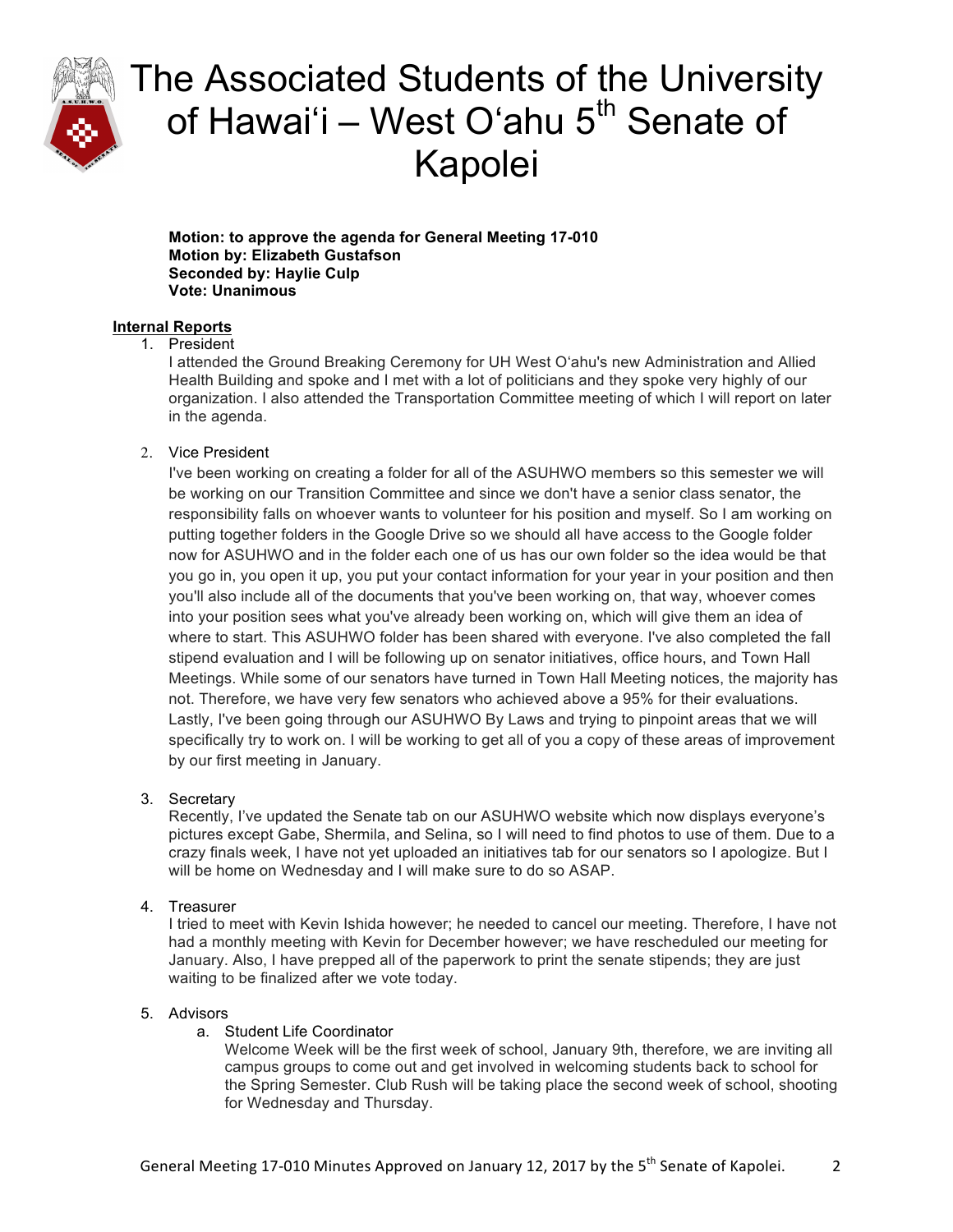

**Motion: to approve the agenda for General Meeting 17-010 Motion by: Elizabeth Gustafson Seconded by: Haylie Culp Vote: Unanimous**

### **Internal Reports**

### 1. President

I attended the Ground Breaking Ceremony for UH West Oʻahu's new Administration and Allied Health Building and spoke and I met with a lot of politicians and they spoke very highly of our organization. I also attended the Transportation Committee meeting of which I will report on later in the agenda.

### 2. Vice President

I've been working on creating a folder for all of the ASUHWO members so this semester we will be working on our Transition Committee and since we don't have a senior class senator, the responsibility falls on whoever wants to volunteer for his position and myself. So I am working on putting together folders in the Google Drive so we should all have access to the Google folder now for ASUHWO and in the folder each one of us has our own folder so the idea would be that you go in, you open it up, you put your contact information for your year in your position and then you'll also include all of the documents that you've been working on, that way, whoever comes into your position sees what you've already been working on, which will give them an idea of where to start. This ASUHWO folder has been shared with everyone. I've also completed the fall stipend evaluation and I will be following up on senator initiatives, office hours, and Town Hall Meetings. While some of our senators have turned in Town Hall Meeting notices, the majority has not. Therefore, we have very few senators who achieved above a 95% for their evaluations. Lastly, I've been going through our ASUHWO By Laws and trying to pinpoint areas that we will specifically try to work on. I will be working to get all of you a copy of these areas of improvement by our first meeting in January.

### 3. Secretary

Recently, I've updated the Senate tab on our ASUHWO website which now displays everyone's pictures except Gabe, Shermila, and Selina, so I will need to find photos to use of them. Due to a crazy finals week, I have not yet uploaded an initiatives tab for our senators so I apologize. But I will be home on Wednesday and I will make sure to do so ASAP.

### 4. Treasurer

I tried to meet with Kevin Ishida however; he needed to cancel our meeting. Therefore, I have not had a monthly meeting with Kevin for December however; we have rescheduled our meeting for January. Also, I have prepped all of the paperwork to print the senate stipends; they are just waiting to be finalized after we vote today.

### 5. Advisors

a. Student Life Coordinator

Welcome Week will be the first week of school, January 9th, therefore, we are inviting all campus groups to come out and get involved in welcoming students back to school for the Spring Semester. Club Rush will be taking place the second week of school, shooting for Wednesday and Thursday.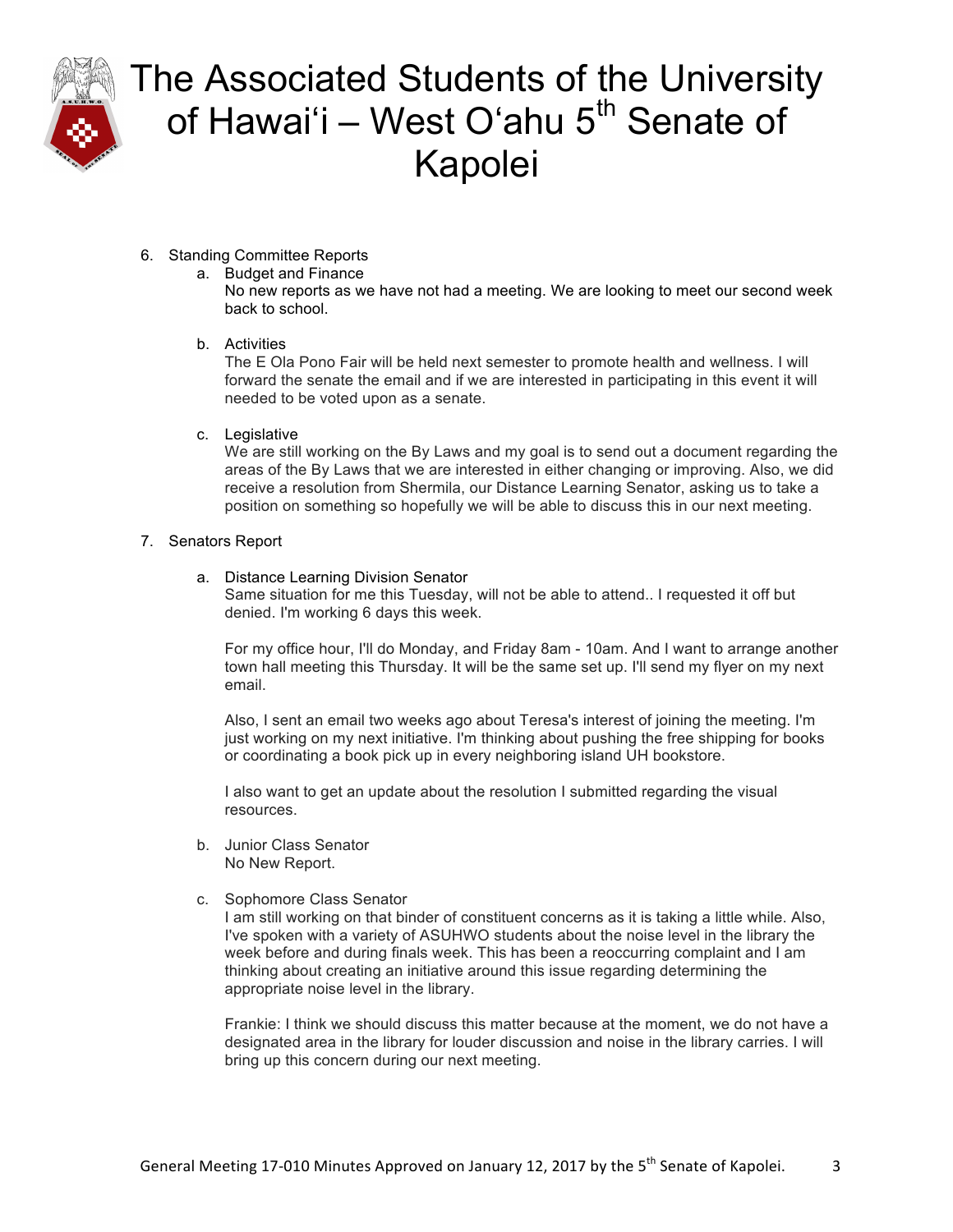

### 6. Standing Committee Reports

a. Budget and Finance No new reports as we have not had a meeting. We are looking to meet our second week back to school.

### b. Activities

The E Ola Pono Fair will be held next semester to promote health and wellness. I will forward the senate the email and if we are interested in participating in this event it will needed to be voted upon as a senate.

### c. Legislative

We are still working on the By Laws and my goal is to send out a document regarding the areas of the By Laws that we are interested in either changing or improving. Also, we did receive a resolution from Shermila, our Distance Learning Senator, asking us to take a position on something so hopefully we will be able to discuss this in our next meeting.

### 7. Senators Report

### a. Distance Learning Division Senator

Same situation for me this Tuesday, will not be able to attend.. I requested it off but denied. I'm working 6 days this week.

For my office hour, I'll do Monday, and Friday 8am - 10am. And I want to arrange another town hall meeting this Thursday. It will be the same set up. I'll send my flyer on my next email.

Also, I sent an email two weeks ago about Teresa's interest of joining the meeting. I'm just working on my next initiative. I'm thinking about pushing the free shipping for books or coordinating a book pick up in every neighboring island UH bookstore.

I also want to get an update about the resolution I submitted regarding the visual resources.

- b. Junior Class Senator No New Report.
- c. Sophomore Class Senator

I am still working on that binder of constituent concerns as it is taking a little while. Also, I've spoken with a variety of ASUHWO students about the noise level in the library the week before and during finals week. This has been a reoccurring complaint and I am thinking about creating an initiative around this issue regarding determining the appropriate noise level in the library.

Frankie: I think we should discuss this matter because at the moment, we do not have a designated area in the library for louder discussion and noise in the library carries. I will bring up this concern during our next meeting.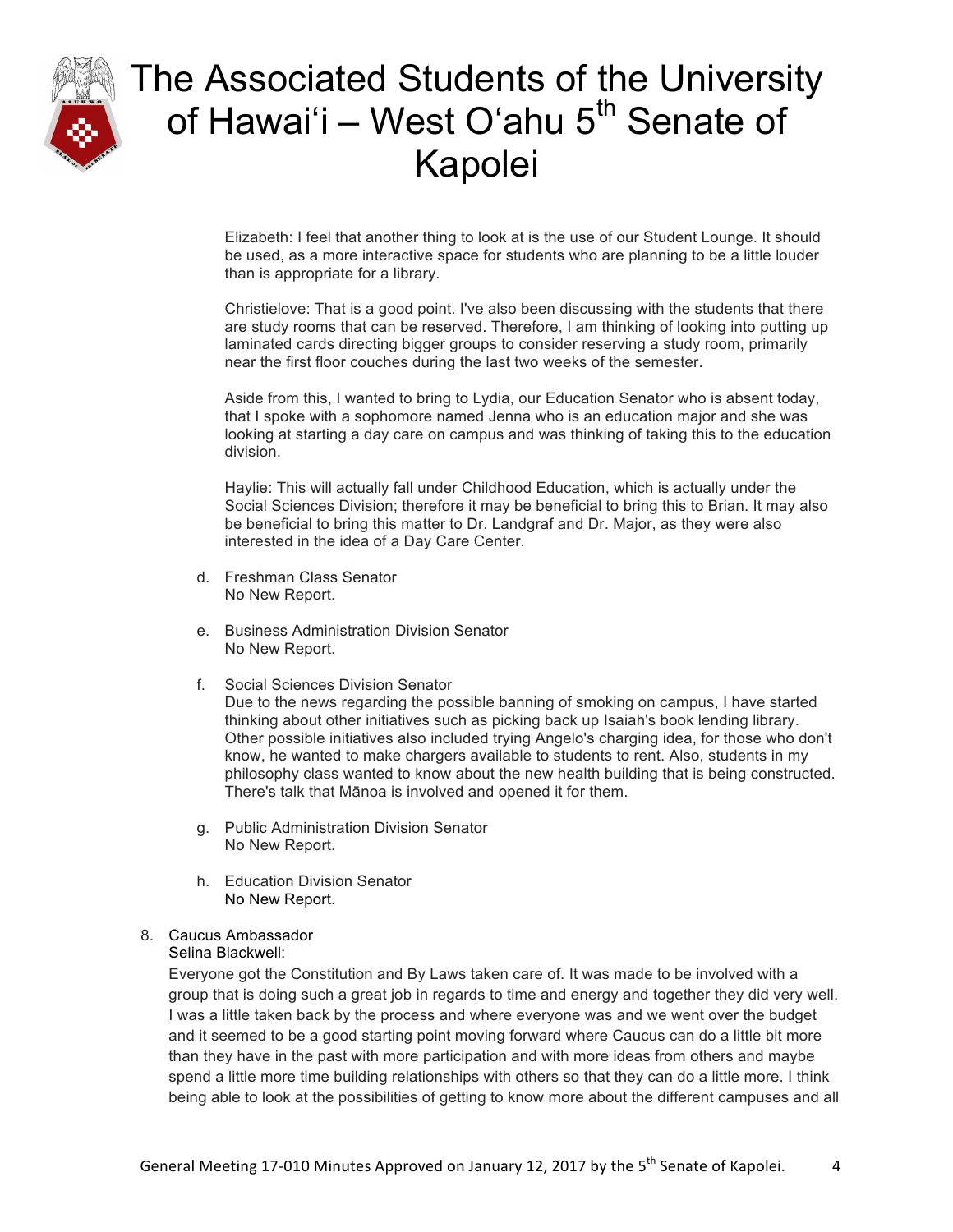

Elizabeth: I feel that another thing to look at is the use of our Student Lounge. It should be used, as a more interactive space for students who are planning to be a little louder than is appropriate for a library.

Christielove: That is a good point. I've also been discussing with the students that there are study rooms that can be reserved. Therefore, I am thinking of looking into putting up laminated cards directing bigger groups to consider reserving a study room, primarily near the first floor couches during the last two weeks of the semester.

Aside from this, I wanted to bring to Lydia, our Education Senator who is absent today, that I spoke with a sophomore named Jenna who is an education major and she was looking at starting a day care on campus and was thinking of taking this to the education division.

Haylie: This will actually fall under Childhood Education, which is actually under the Social Sciences Division; therefore it may be beneficial to bring this to Brian. It may also be beneficial to bring this matter to Dr. Landgraf and Dr. Major, as they were also interested in the idea of a Day Care Center.

- d. Freshman Class Senator No New Report.
- e. Business Administration Division Senator No New Report.
- f. Social Sciences Division Senator

Due to the news regarding the possible banning of smoking on campus, I have started thinking about other initiatives such as picking back up Isaiah's book lending library. Other possible initiatives also included trying Angelo's charging idea, for those who don't know, he wanted to make chargers available to students to rent. Also, students in my philosophy class wanted to know about the new health building that is being constructed. There's talk that Mānoa is involved and opened it for them.

- g. Public Administration Division Senator No New Report.
- h. Education Division Senator No New Report.

### 8. Caucus Ambassador

### Selina Blackwell:

Everyone got the Constitution and By Laws taken care of. It was made to be involved with a group that is doing such a great job in regards to time and energy and together they did very well. I was a little taken back by the process and where everyone was and we went over the budget and it seemed to be a good starting point moving forward where Caucus can do a little bit more than they have in the past with more participation and with more ideas from others and maybe spend a little more time building relationships with others so that they can do a little more. I think being able to look at the possibilities of getting to know more about the different campuses and all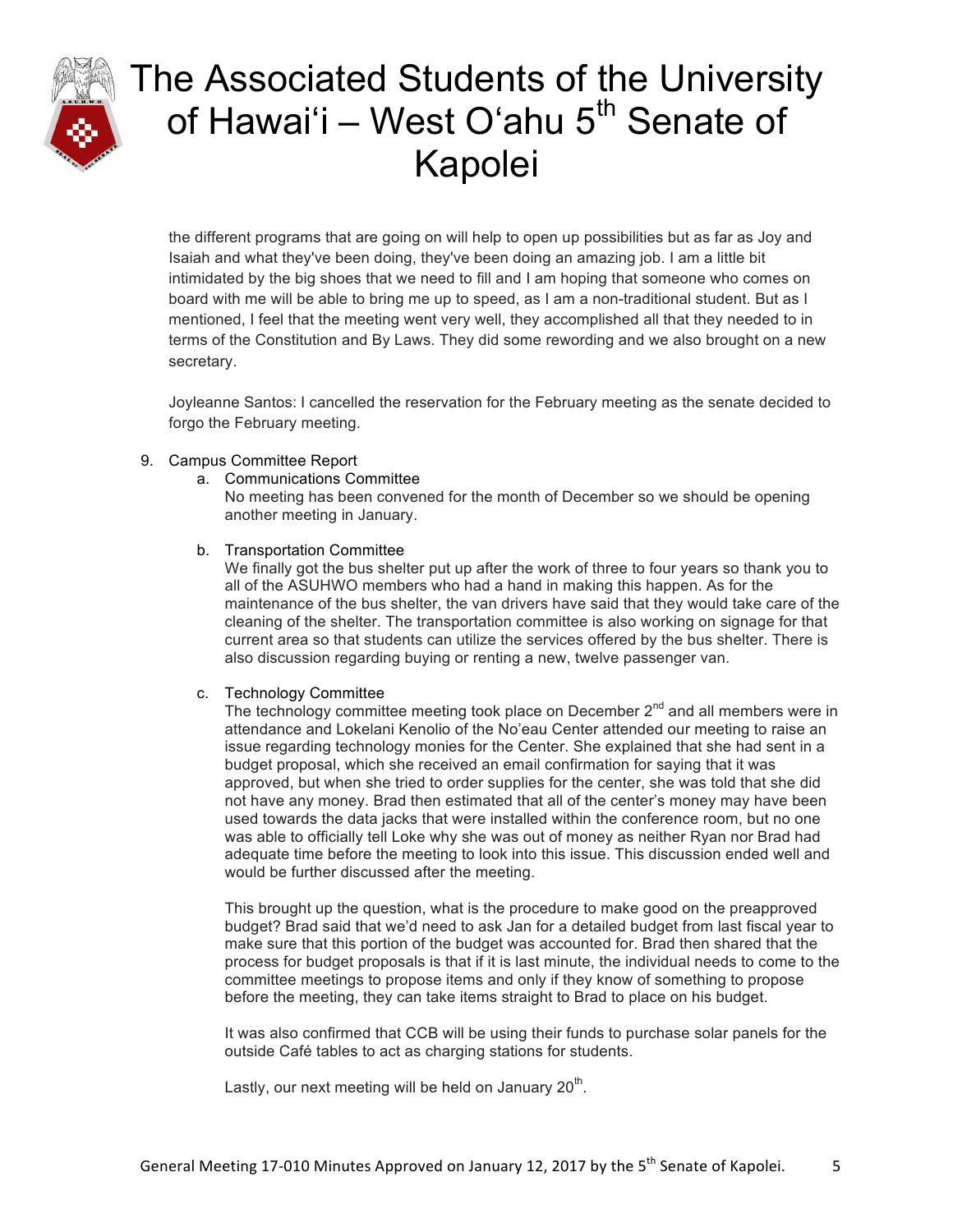

the different programs that are going on will help to open up possibilities but as far as Joy and Isaiah and what they've been doing, they've been doing an amazing job. I am a little bit intimidated by the big shoes that we need to fill and I am hoping that someone who comes on board with me will be able to bring me up to speed, as I am a non-traditional student. But as I mentioned, I feel that the meeting went very well, they accomplished all that they needed to in terms of the Constitution and By Laws. They did some rewording and we also brought on a new secretary.

Joyleanne Santos: I cancelled the reservation for the February meeting as the senate decided to forgo the February meeting.

### 9. Campus Committee Report

a. Communications Committee

No meeting has been convened for the month of December so we should be opening another meeting in January.

#### b. Transportation Committee

We finally got the bus shelter put up after the work of three to four years so thank you to all of the ASUHWO members who had a hand in making this happen. As for the maintenance of the bus shelter, the van drivers have said that they would take care of the cleaning of the shelter. The transportation committee is also working on signage for that current area so that students can utilize the services offered by the bus shelter. There is also discussion regarding buying or renting a new, twelve passenger van.

### c. Technology Committee

The technology committee meeting took place on December  $2^{nd}$  and all members were in attendance and Lokelani Kenolio of the No'eau Center attended our meeting to raise an issue regarding technology monies for the Center. She explained that she had sent in a budget proposal, which she received an email confirmation for saying that it was approved, but when she tried to order supplies for the center, she was told that she did not have any money. Brad then estimated that all of the center's money may have been used towards the data jacks that were installed within the conference room, but no one was able to officially tell Loke why she was out of money as neither Ryan nor Brad had adequate time before the meeting to look into this issue. This discussion ended well and would be further discussed after the meeting.

This brought up the question, what is the procedure to make good on the preapproved budget? Brad said that we'd need to ask Jan for a detailed budget from last fiscal year to make sure that this portion of the budget was accounted for. Brad then shared that the process for budget proposals is that if it is last minute, the individual needs to come to the committee meetings to propose items and only if they know of something to propose before the meeting, they can take items straight to Brad to place on his budget.

It was also confirmed that CCB will be using their funds to purchase solar panels for the outside Café tables to act as charging stations for students.

Lastly, our next meeting will be held on January  $20<sup>th</sup>$ .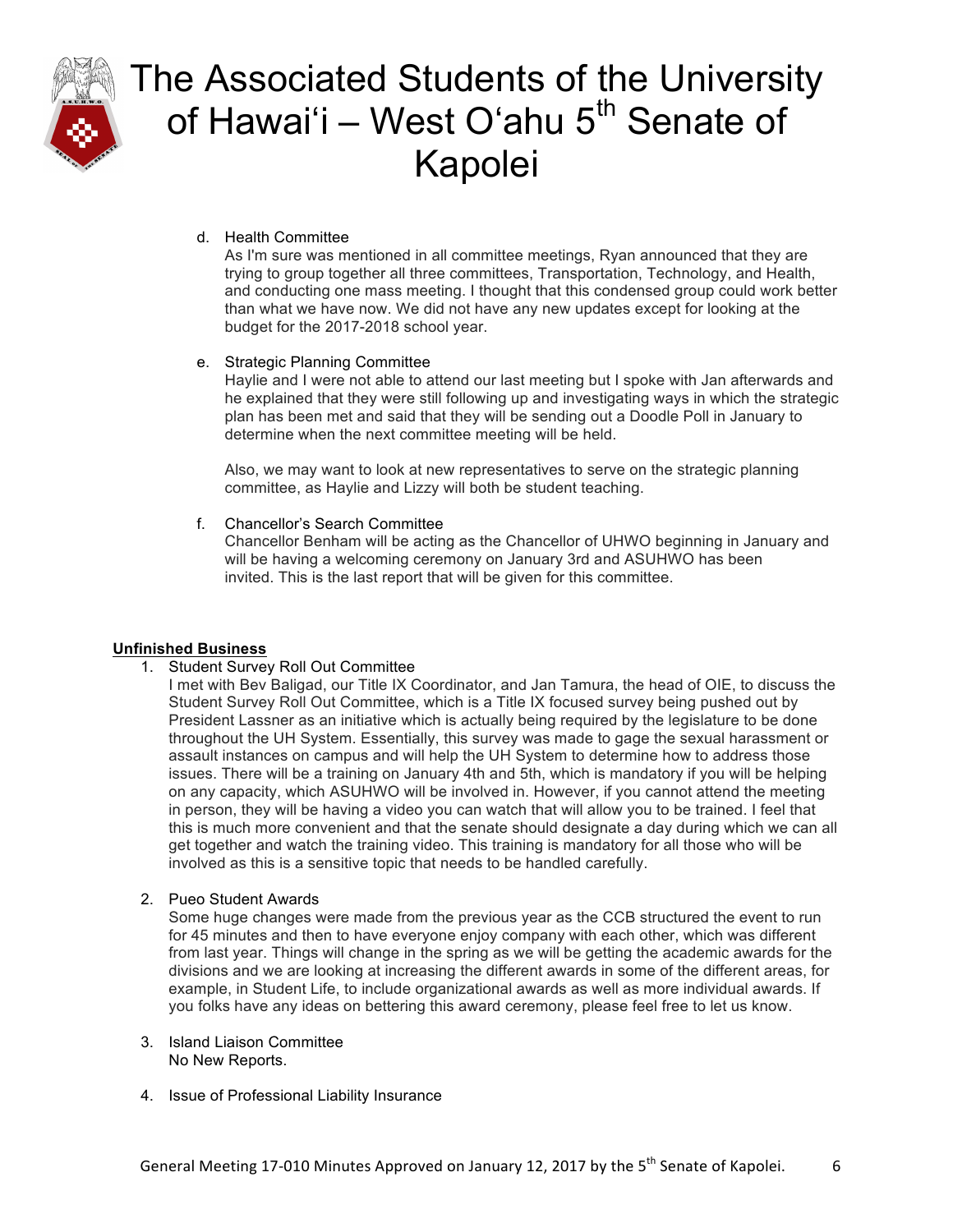

### d. Health Committee

As I'm sure was mentioned in all committee meetings, Ryan announced that they are trying to group together all three committees, Transportation, Technology, and Health, and conducting one mass meeting. I thought that this condensed group could work better than what we have now. We did not have any new updates except for looking at the budget for the 2017-2018 school year.

### e. Strategic Planning Committee

Haylie and I were not able to attend our last meeting but I spoke with Jan afterwards and he explained that they were still following up and investigating ways in which the strategic plan has been met and said that they will be sending out a Doodle Poll in January to determine when the next committee meeting will be held.

Also, we may want to look at new representatives to serve on the strategic planning committee, as Haylie and Lizzy will both be student teaching.

### f. Chancellor's Search Committee

Chancellor Benham will be acting as the Chancellor of UHWO beginning in January and will be having a welcoming ceremony on January 3rd and ASUHWO has been invited. This is the last report that will be given for this committee.

### **Unfinished Business**

- 1. Student Survey Roll Out Committee
	- I met with Bev Baligad, our Title IX Coordinator, and Jan Tamura, the head of OIE, to discuss the Student Survey Roll Out Committee, which is a Title IX focused survey being pushed out by President Lassner as an initiative which is actually being required by the legislature to be done throughout the UH System. Essentially, this survey was made to gage the sexual harassment or assault instances on campus and will help the UH System to determine how to address those issues. There will be a training on January 4th and 5th, which is mandatory if you will be helping on any capacity, which ASUHWO will be involved in. However, if you cannot attend the meeting in person, they will be having a video you can watch that will allow you to be trained. I feel that this is much more convenient and that the senate should designate a day during which we can all get together and watch the training video. This training is mandatory for all those who will be involved as this is a sensitive topic that needs to be handled carefully.
- 2. Pueo Student Awards

Some huge changes were made from the previous year as the CCB structured the event to run for 45 minutes and then to have everyone enjoy company with each other, which was different from last year. Things will change in the spring as we will be getting the academic awards for the divisions and we are looking at increasing the different awards in some of the different areas, for example, in Student Life, to include organizational awards as well as more individual awards. If you folks have any ideas on bettering this award ceremony, please feel free to let us know.

- 3. Island Liaison Committee No New Reports.
- 4. Issue of Professional Liability Insurance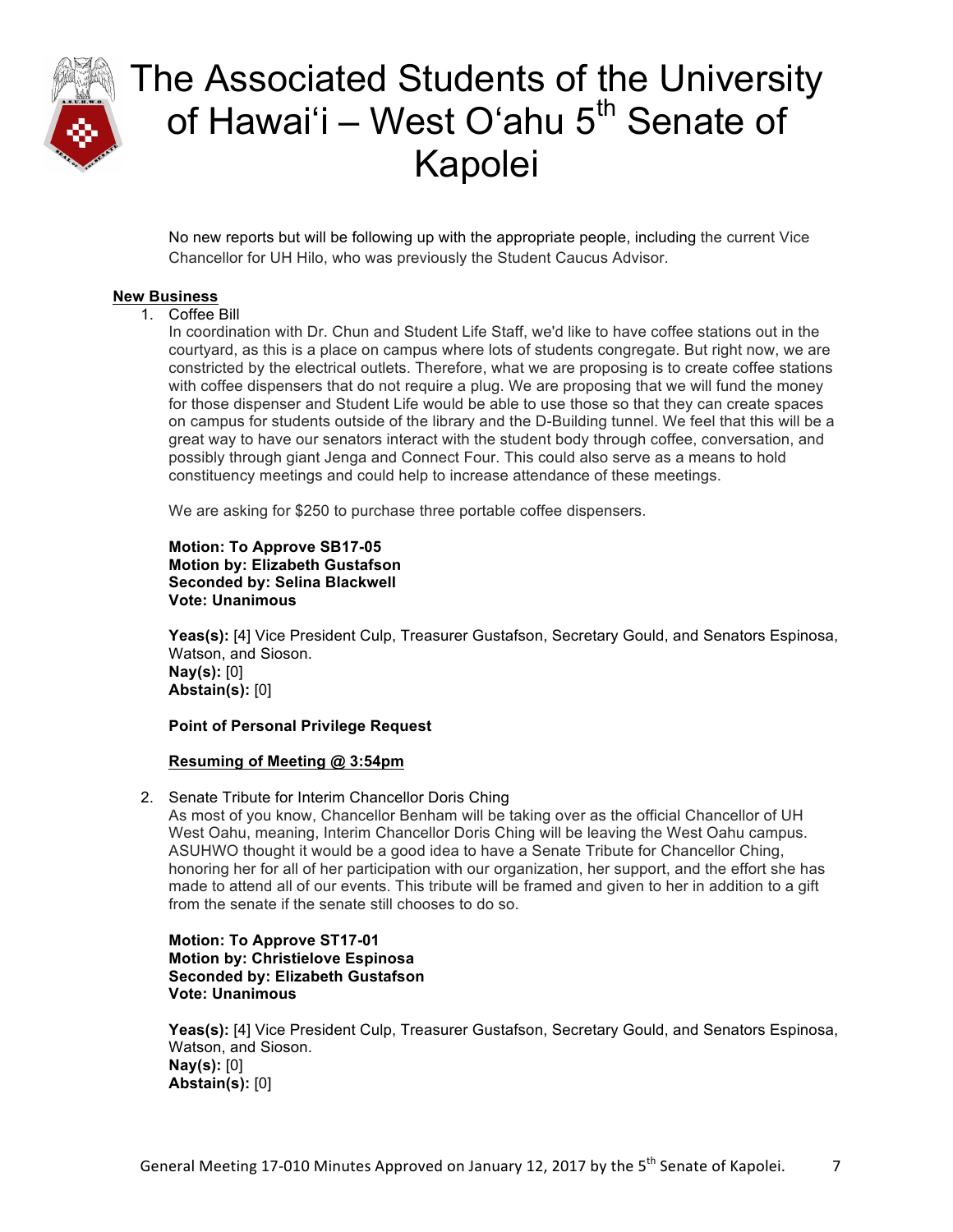

No new reports but will be following up with the appropriate people, including the current Vice Chancellor for UH Hilo, who was previously the Student Caucus Advisor.

### **New Business**

### 1. Coffee Bill

In coordination with Dr. Chun and Student Life Staff, we'd like to have coffee stations out in the courtyard, as this is a place on campus where lots of students congregate. But right now, we are constricted by the electrical outlets. Therefore, what we are proposing is to create coffee stations with coffee dispensers that do not require a plug. We are proposing that we will fund the money for those dispenser and Student Life would be able to use those so that they can create spaces on campus for students outside of the library and the D-Building tunnel. We feel that this will be a great way to have our senators interact with the student body through coffee, conversation, and possibly through giant Jenga and Connect Four. This could also serve as a means to hold constituency meetings and could help to increase attendance of these meetings.

We are asking for \$250 to purchase three portable coffee dispensers.

#### **Motion: To Approve SB17-05 Motion by: Elizabeth Gustafson Seconded by: Selina Blackwell Vote: Unanimous**

**Yeas(s):** [4] Vice President Culp, Treasurer Gustafson, Secretary Gould, and Senators Espinosa, Watson, and Sioson. **Nay(s):** [0] **Abstain(s):** [0]

### **Point of Personal Privilege Request**

### **Resuming of Meeting @ 3:54pm**

2. Senate Tribute for Interim Chancellor Doris Ching

As most of you know, Chancellor Benham will be taking over as the official Chancellor of UH West Oahu, meaning, Interim Chancellor Doris Ching will be leaving the West Oahu campus. ASUHWO thought it would be a good idea to have a Senate Tribute for Chancellor Ching, honoring her for all of her participation with our organization, her support, and the effort she has made to attend all of our events. This tribute will be framed and given to her in addition to a gift from the senate if the senate still chooses to do so.

**Motion: To Approve ST17-01 Motion by: Christielove Espinosa Seconded by: Elizabeth Gustafson Vote: Unanimous**

**Yeas(s):** [4] Vice President Culp, Treasurer Gustafson, Secretary Gould, and Senators Espinosa, Watson, and Sioson. **Nay(s):** [0] **Abstain(s):** [0]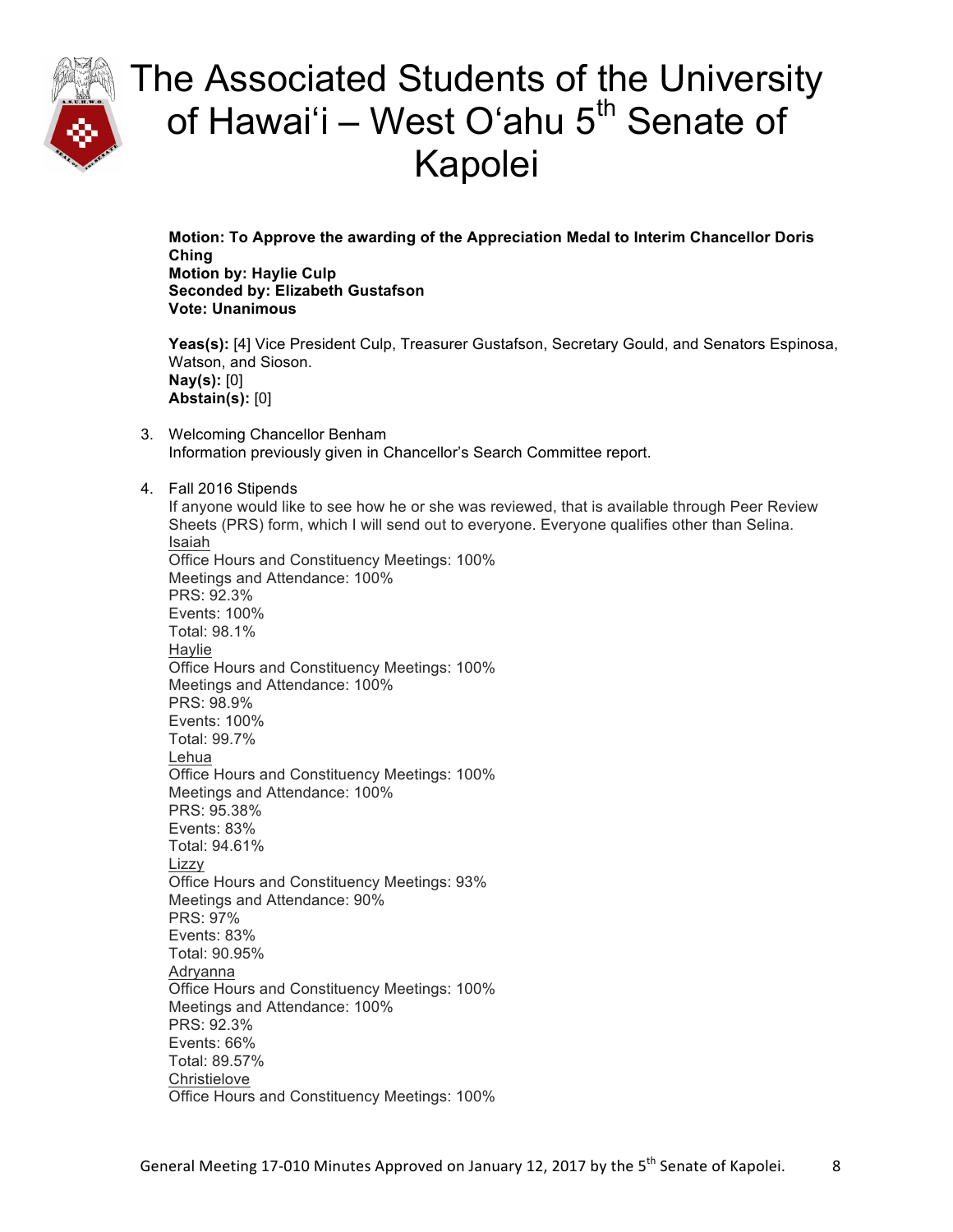

**Motion: To Approve the awarding of the Appreciation Medal to Interim Chancellor Doris Ching Motion by: Haylie Culp Seconded by: Elizabeth Gustafson Vote: Unanimous**

**Yeas(s):** [4] Vice President Culp, Treasurer Gustafson, Secretary Gould, and Senators Espinosa, Watson, and Sioson. **Nay(s):** [0] **Abstain(s):** [0]

- 3. Welcoming Chancellor Benham Information previously given in Chancellor's Search Committee report.
- 4. Fall 2016 Stipends

If anyone would like to see how he or she was reviewed, that is available through Peer Review Sheets (PRS) form, which I will send out to everyone. Everyone qualifies other than Selina. Isaiah Office Hours and Constituency Meetings: 100% Meetings and Attendance: 100% PRS: 92.3% Events: 100% Total: 98.1% **Haylie** Office Hours and Constituency Meetings: 100% Meetings and Attendance: 100% PRS: 98.9% Events: 100% Total: 99.7% Lehua Office Hours and Constituency Meetings: 100% Meetings and Attendance: 100% PRS: 95.38% Events: 83% Total: 94.61% Lizzy Office Hours and Constituency Meetings: 93% Meetings and Attendance: 90% PRS: 97% Events: 83% Total: 90.95% Adryanna Office Hours and Constituency Meetings: 100% Meetings and Attendance: 100% PRS: 92.3% Events: 66% Total: 89.57% **Christielove** Office Hours and Constituency Meetings: 100%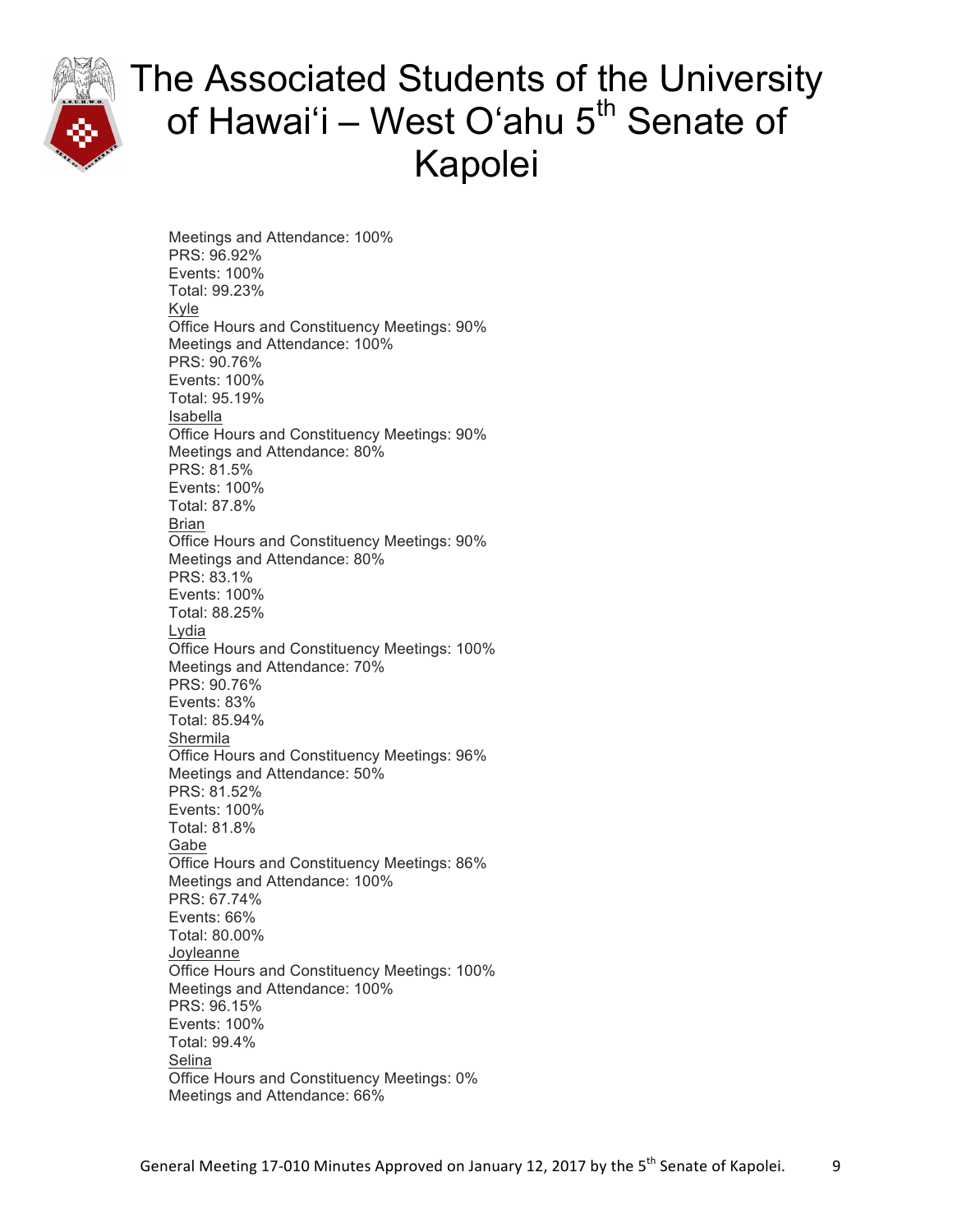

Meetings and Attendance: 100% PRS: 96.92% Events: 100% Total: 99.23% Kyle Office Hours and Constituency Meetings: 90% Meetings and Attendance: 100% PRS: 90.76% Events: 100% Total: 95.19% Isabella Office Hours and Constituency Meetings: 90% Meetings and Attendance: 80% PRS: 81.5% Events: 100% Total: 87.8% Brian Office Hours and Constituency Meetings: 90% Meetings and Attendance: 80% PRS: 83.1% Events: 100% Total: 88.25% Lydia Office Hours and Constituency Meetings: 100% Meetings and Attendance: 70% PRS: 90.76% Events: 83% Total: 85.94% Shermila Office Hours and Constituency Meetings: 96% Meetings and Attendance: 50% PRS: 81.52% Events: 100% Total: 81.8% Gabe Office Hours and Constituency Meetings: 86% Meetings and Attendance: 100% PRS: 67.74% Events: 66% Total: 80.00% **Joyleanne** Office Hours and Constituency Meetings: 100% Meetings and Attendance: 100% PRS: 96.15% Events: 100% Total: 99.4% Selina Office Hours and Constituency Meetings: 0% Meetings and Attendance: 66%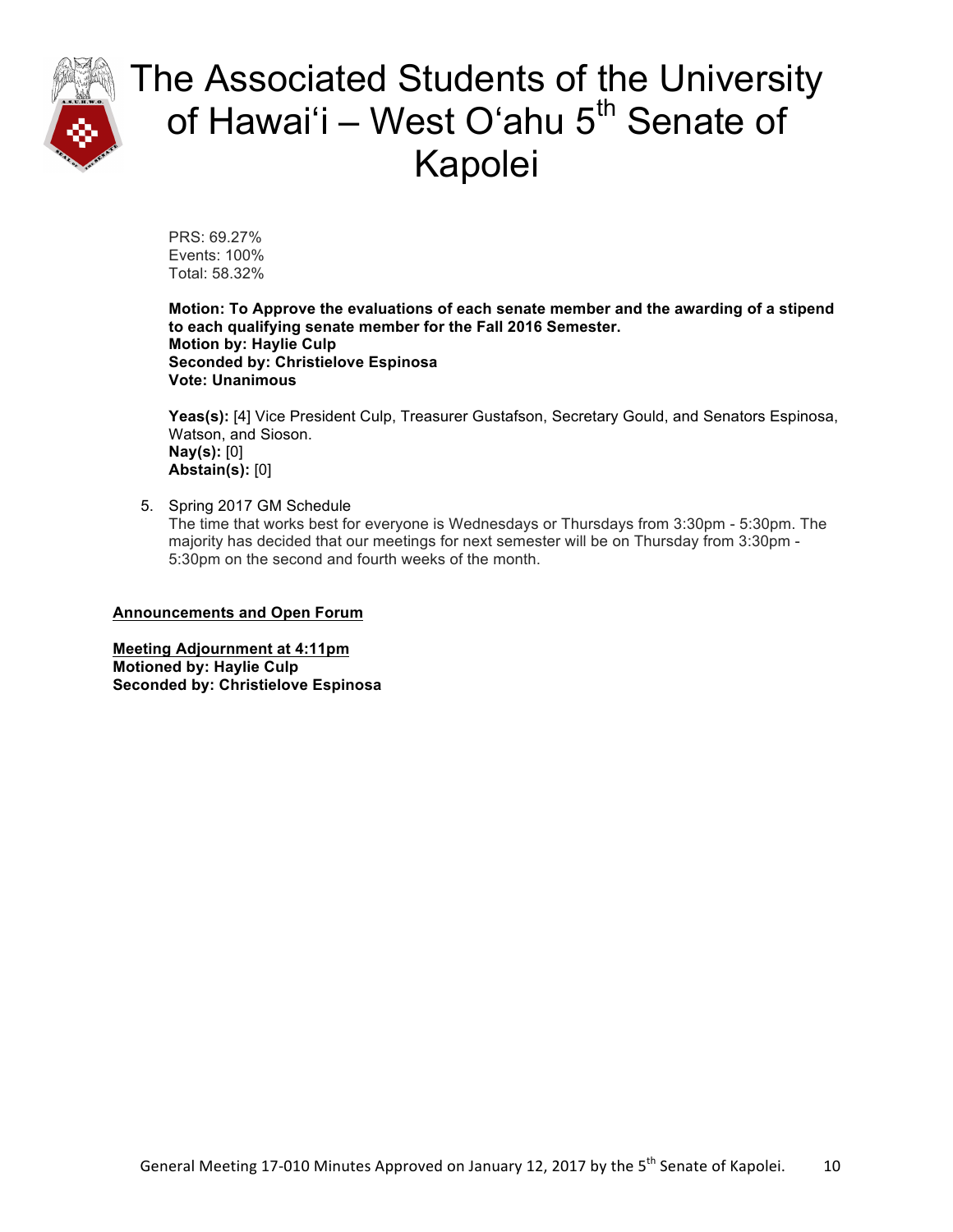

PRS: 69.27% Events: 100% Total: 58.32%

**Motion: To Approve the evaluations of each senate member and the awarding of a stipend to each qualifying senate member for the Fall 2016 Semester. Motion by: Haylie Culp Seconded by: Christielove Espinosa Vote: Unanimous**

**Yeas(s):** [4] Vice President Culp, Treasurer Gustafson, Secretary Gould, and Senators Espinosa, Watson, and Sioson. **Nay(s):** [0] **Abstain(s):** [0]

5. Spring 2017 GM Schedule The time that works best for everyone is Wednesdays or Thursdays from 3:30pm - 5:30pm. The majority has decided that our meetings for next semester will be on Thursday from 3:30pm - 5:30pm on the second and fourth weeks of the month.

**Announcements and Open Forum**

**Meeting Adjournment at 4:11pm Motioned by: Haylie Culp Seconded by: Christielove Espinosa**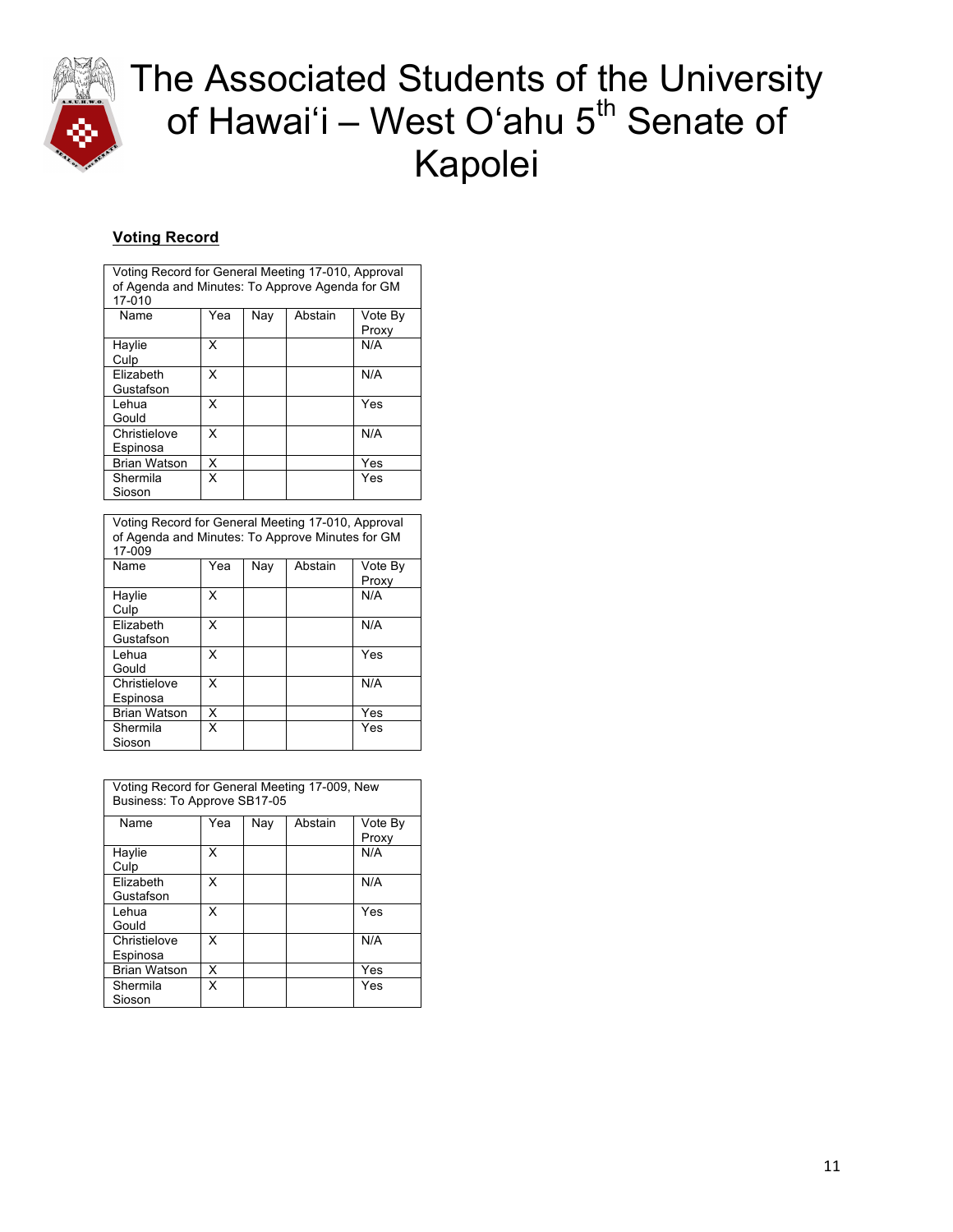

### **Voting Record**

| Voting Record for General Meeting 17-010, Approval<br>of Agenda and Minutes: To Approve Agenda for GM<br>17-010 |     |     |         |                  |  |
|-----------------------------------------------------------------------------------------------------------------|-----|-----|---------|------------------|--|
| Name                                                                                                            | Yea | Nav | Abstain | Vote By<br>Proxy |  |
| Haylie<br>Culp                                                                                                  | x   |     |         | N/A              |  |
| Elizabeth<br>Gustafson                                                                                          | x   |     |         | N/A              |  |
| Lehua<br>Gould                                                                                                  | X   |     |         | Yes              |  |
| Christielove<br>Espinosa                                                                                        | x   |     |         | N/A              |  |
| <b>Brian Watson</b>                                                                                             | X   |     |         | Yes              |  |
| Shermila<br>Sioson                                                                                              | x   |     |         | Yes              |  |

| Voting Record for General Meeting 17-010, Approval<br>of Agenda and Minutes: To Approve Minutes for GM<br>17-009 |     |     |         |                  |
|------------------------------------------------------------------------------------------------------------------|-----|-----|---------|------------------|
| Name                                                                                                             | Yea | Nav | Abstain | Vote By<br>Proxy |
| Haylie<br>Culp                                                                                                   | x   |     |         | N/A              |
| Elizabeth<br>Gustafson                                                                                           | x   |     |         | N/A              |
| Lehua<br>Gould                                                                                                   | x   |     |         | Yes              |
| Christielove<br>Espinosa                                                                                         | x   |     |         | N/A              |
| <b>Brian Watson</b>                                                                                              | X   |     |         | Yes              |
| Shermila<br>Sioson                                                                                               | x   |     |         | Yes              |

| Voting Record for General Meeting 17-009, New<br>Business: To Approve SB17-05 |     |     |         |                  |
|-------------------------------------------------------------------------------|-----|-----|---------|------------------|
| Name                                                                          | Yea | Nav | Abstain | Vote By<br>Proxy |
| Haylie<br>Culp                                                                | x   |     |         | N/A              |
| Elizabeth<br>Gustafson                                                        | x   |     |         | N/A              |
| Lehua<br>Gould                                                                | x   |     |         | Yes              |
| Christielove<br>Espinosa                                                      | x   |     |         | N/A              |
| <b>Brian Watson</b>                                                           | x   |     |         | Yes              |
| Shermila<br>Sioson                                                            | x   |     |         | Yes              |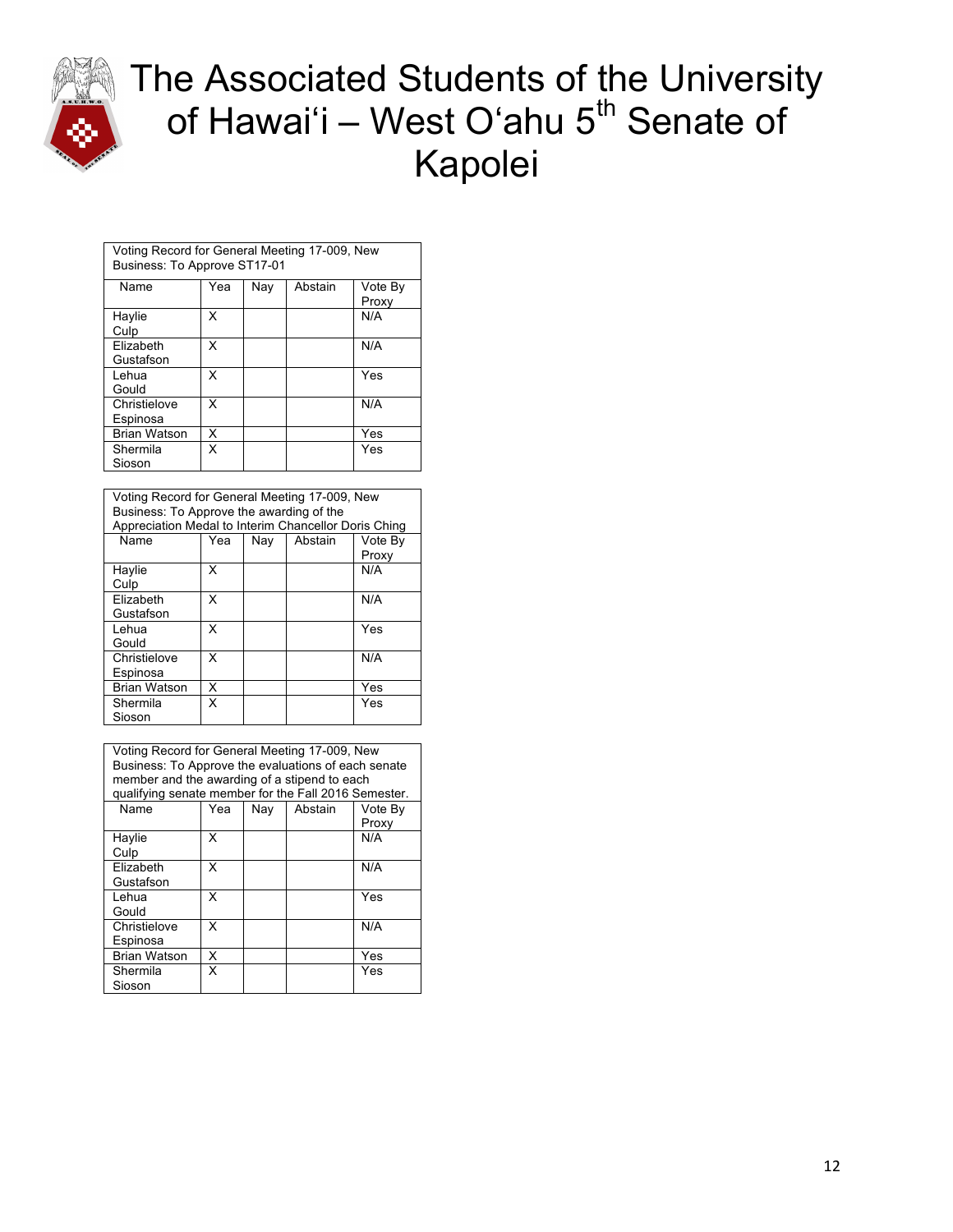

| Voting Record for General Meeting 17-009, New<br>Business: To Approve ST17-01 |     |     |         |                  |
|-------------------------------------------------------------------------------|-----|-----|---------|------------------|
| Name                                                                          | Yea | Nay | Abstain | Vote By<br>Proxy |
| Haylie<br>Culp                                                                | x   |     |         | N/A              |
| Elizabeth<br>Gustafson                                                        | x   |     |         | N/A              |
| Lehua<br>Gould                                                                | x   |     |         | Yes              |
| Christielove<br>Espinosa                                                      | x   |     |         | N/A              |
| <b>Brian Watson</b>                                                           | x   |     |         | Yes              |
| Shermila<br>Sioson                                                            | x   |     |         | Yes              |
|                                                                               |     |     |         |                  |

| Voting Record for General Meeting 17-009, New<br>Business: To Approve the awarding of the<br>Appreciation Medal to Interim Chancellor Doris Ching |                                  |  |  |              |  |  |
|---------------------------------------------------------------------------------------------------------------------------------------------------|----------------------------------|--|--|--------------|--|--|
| Name                                                                                                                                              | Vote By<br>Yea<br>Nav<br>Abstain |  |  |              |  |  |
| Haylie<br>Culp                                                                                                                                    | x                                |  |  | Proxy<br>N/A |  |  |
| Elizabeth<br>Gustafson                                                                                                                            | x                                |  |  | N/A          |  |  |
| Lehua<br>Gould                                                                                                                                    | x                                |  |  | Yes          |  |  |
| Christielove<br>Espinosa                                                                                                                          | x                                |  |  | N/A          |  |  |
| <b>Brian Watson</b>                                                                                                                               | x                                |  |  | Yes          |  |  |
| Shermila<br>Sioson                                                                                                                                | x                                |  |  | Yes          |  |  |

| Voting Record for General Meeting 17-009, New<br>Business: To Approve the evaluations of each senate<br>member and the awarding of a stipend to each<br>qualifying senate member for the Fall 2016 Semester. |     |     |         |                  |
|--------------------------------------------------------------------------------------------------------------------------------------------------------------------------------------------------------------|-----|-----|---------|------------------|
| <b>Name</b>                                                                                                                                                                                                  | Yea | Nay | Abstain | Vote By<br>Proxy |
| Haylie<br>Culp                                                                                                                                                                                               | x   |     |         | N/A              |
| Elizabeth<br>Gustafson                                                                                                                                                                                       | x   |     |         | N/A              |
| Lehua<br>Gould                                                                                                                                                                                               | x   |     |         | Yes              |
| Christielove<br>Espinosa                                                                                                                                                                                     | x   |     |         | N/A              |
| <b>Brian Watson</b>                                                                                                                                                                                          | X   |     |         | Yes              |
| Shermila<br>Sioson                                                                                                                                                                                           | x   |     |         | Yes              |